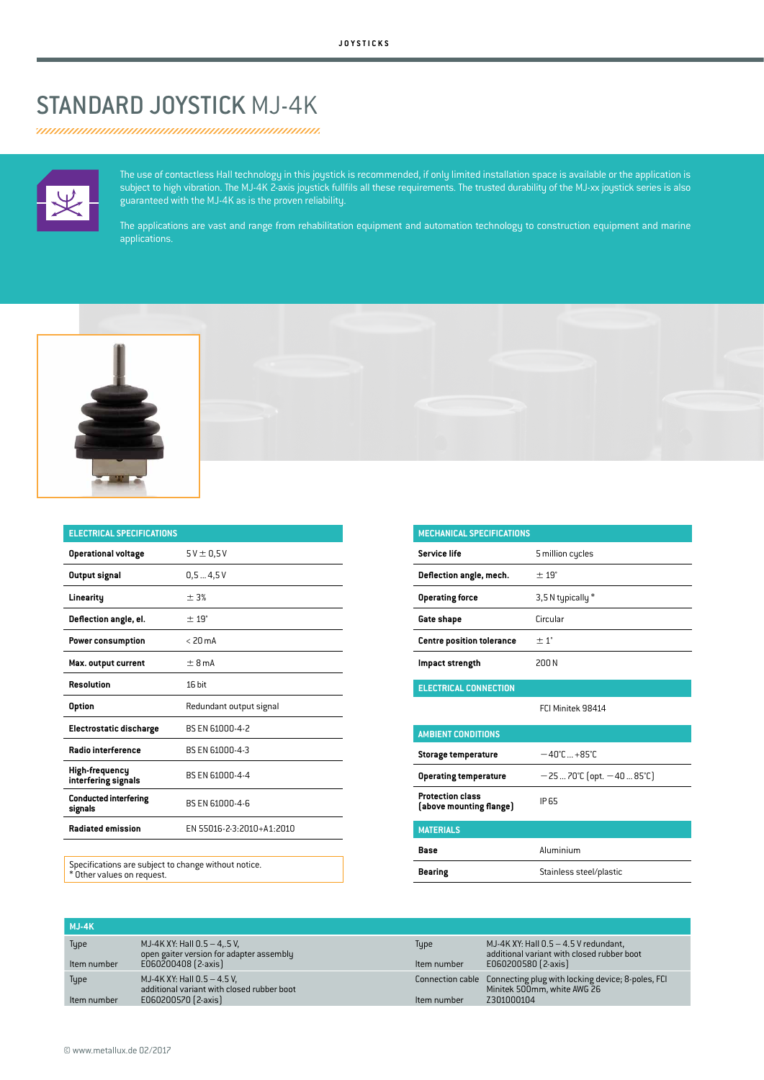## STANDARD JOYSTICK MJ-4K



The use of contactless Hall technology in this joystick is recommended, if only limited installation space is available or the application is subject to high vibration. The MJ-4K 2-axis joystick fullfils all these requirements. The trusted durability of the MJ-xx joystick series is also guaranteed with the MJ-4K as is the proven reliability.

The applications are vast and range from rehabilitation equipment and automation technology to construction equipment and marine applications.





| <b>ELECTRICAL SPECIFICATIONS</b>        |                           |  |  |
|-----------------------------------------|---------------------------|--|--|
| <b>Operational voltage</b>              | $5V \pm 0.5V$             |  |  |
| Output signal                           | 0.54.5V                   |  |  |
| Linearitu                               | ± 3%                      |  |  |
| Deflection angle, el.                   | ± 19°                     |  |  |
| Power consumption                       | $< 20 \text{ mA}$         |  |  |
| Max. output current                     | ±8mA                      |  |  |
| <b>Resolution</b>                       | 16 bit                    |  |  |
| <b>Option</b>                           | Redundant output signal   |  |  |
| <b>Electrostatic discharge</b>          | BS EN 61000-4-2           |  |  |
| Radio interference                      | BS EN 61000-4-3           |  |  |
| High-frequency<br>interfering signals   | BS EN 61000-4-4           |  |  |
| <b>Conducted interfering</b><br>signals | BS EN 61000-4-6           |  |  |
| <b>Radiated emission</b>                | EN 55016-2-3:2010+A1:2010 |  |  |

**MECHANICAL SPECIFICATIONS Service life** 5 million cycles **Deflection angle, mech.**  $\pm 19^\circ$ **Operating force** 3,5 N typically \* **Gate shape** Circular **Centre position tolerance**  $\pm 1^{\circ}$ **Impact strength** 200 N **ELECTRICAL CONNECTION** FCI Minitek 98414 **AMBIENT CONDITIONS Storage temperature** −40°C ...+85°C **Operating temperature** −25...70°C (opt. −40...85°C) **Protection class Frotection class**<br>**(above mounting flange)** IP65 **MATERIALS Base** Aluminium **Bearing** Stainless steel/plastic

Specifications are subject to change without notice. \* Other values on request.

| $MJ-4K$             |                                                                                                    |                     |                                                                                                                 |
|---------------------|----------------------------------------------------------------------------------------------------|---------------------|-----------------------------------------------------------------------------------------------------------------|
| Type<br>Item number | MJ-4K XY: Hall $0.5 - 4.5$ V,<br>open gaiter version for adapter assembly<br>E060200408 [2-axis]   | Type<br>Item number | MJ-4K XY: Hall $0.5 - 4.5$ V redundant,<br>additional variant with closed rubber boot<br>E060200580 [2-axis]    |
| Type<br>Item number | MJ-4K XY: Hall $0.5 - 4.5$ V,<br>additional variant with closed rubber boot<br>E060200570 [2-axis] | Item number         | Connection cable Connecting plug with locking device; 8-poles, FCI<br>Minitek 500mm, white AWG 26<br>Z301000104 |